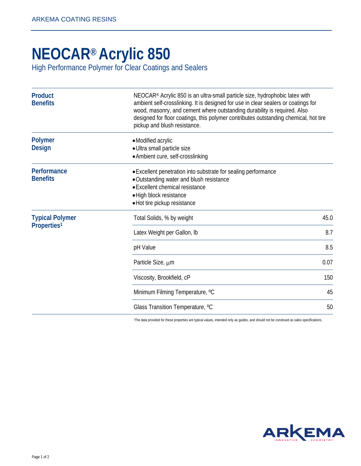## **NEOCAR® Acrylic 850**

[High Performance Polymer for Clear Coatings and Sealers](http://www.arkemacoatingresins.com/en/) 

| <b>Product</b><br><b>Benefits</b>                 | NEOCAR <sup>®</sup> Acrylic 850 is an ultra-small particle size, hydrophobic latex with<br>ambient self-crosslinking. It is designed for use in clear sealers or coatings for<br>wood, masonry, and cement where outstanding durability is required. Also<br>designed for floor coatings, this polymer contributes outstanding chemical, hot tire<br>pickup and blush resistance. |      |
|---------------------------------------------------|-----------------------------------------------------------------------------------------------------------------------------------------------------------------------------------------------------------------------------------------------------------------------------------------------------------------------------------------------------------------------------------|------|
| <b>Polymer</b><br><b>Design</b>                   | • Modified acrylic<br>· Ultra small particle size<br>• Ambient cure, self-crosslinking                                                                                                                                                                                                                                                                                            |      |
| Performance<br><b>Benefits</b>                    | • Excellent penetration into substrate for sealing performance<br>• Outstanding water and blush resistance<br>• Excellent chemical resistance<br>· High block resistance<br>• Hot tire pickup resistance                                                                                                                                                                          |      |
| <b>Typical Polymer</b><br>Properties <sup>1</sup> | Total Solids, % by weight                                                                                                                                                                                                                                                                                                                                                         | 45.0 |
|                                                   | Latex Weight per Gallon, Ib                                                                                                                                                                                                                                                                                                                                                       | 8.7  |
|                                                   | pH Value                                                                                                                                                                                                                                                                                                                                                                          | 8.5  |
|                                                   | Particle Size, um                                                                                                                                                                                                                                                                                                                                                                 | 0.07 |
|                                                   | Viscosity, Brookfield, cP                                                                                                                                                                                                                                                                                                                                                         | 150  |
|                                                   | Minimum Filming Temperature, °C                                                                                                                                                                                                                                                                                                                                                   | 45   |
|                                                   | Glass Transition Temperature, °C                                                                                                                                                                                                                                                                                                                                                  | 50   |

<sup>1</sup>The data provided for these properties are typical values, intended only as guides, and should not be construed as sales specifications.